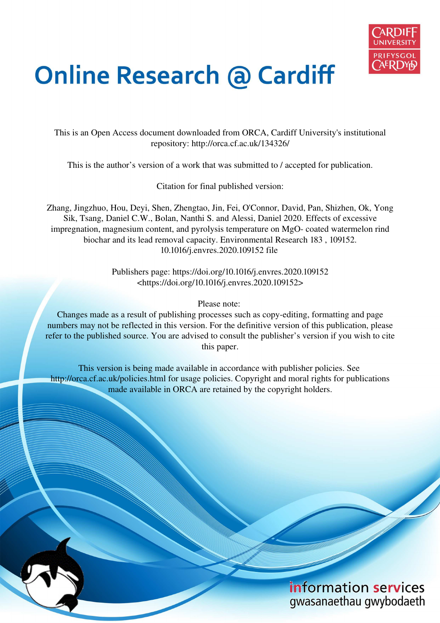

# **Online Research @ Cardiff**

This is an Open Access document downloaded from ORCA, Cardiff University's institutional repository: http://orca.cf.ac.uk/134326/

This is the author's version of a work that was submitted to / accepted for publication.

Citation for final published version:

Zhang, Jingzhuo, Hou, Deyi, Shen, Zhengtao, Jin, Fei, O'Connor, David, Pan, Shizhen, Ok, Yong Sik, Tsang, Daniel C.W., Bolan, Nanthi S. and Alessi, Daniel 2020. Effects of excessive impregnation, magnesium content, and pyrolysis temperature on MgO- coated watermelon rind biochar and its lead removal capacity. Environmental Research 183 , 109152. 10.1016/j.envres.2020.109152 file

> Publishers page: https://doi.org/10.1016/j.envres.2020.109152 <https://doi.org/10.1016/j.envres.2020.109152>

> > Please note:

Changes made as a result of publishing processes such as copy-editing, formatting and page numbers may not be reflected in this version. For the definitive version of this publication, please refer to the published source. You are advised to consult the publisher's version if you wish to cite this paper.

This version is being made available in accordance with publisher policies. See http://orca.cf.ac.uk/policies.html for usage policies. Copyright and moral rights for publications made available in ORCA are retained by the copyright holders.

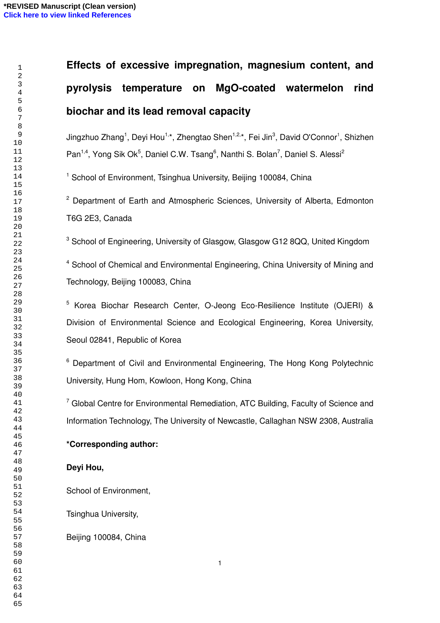# **Effects of excessive impregnation, magnesium content, and pyrolysis temperature on MgO-coated watermelon rind biochar and its lead removal capacity**

Jingzhuo Zhang<sup>1</sup>, Deyi Hou<sup>1,\*</sup>, Zhengtao Shen<sup>1,2,\*</sup>, Fei Jin<sup>3</sup>, David O'Connor<sup>1</sup>, Shizhen Pan<sup>1,4</sup>, Yong Sik Ok<sup>5</sup>, Daniel C.W. Tsang<sup>6</sup>, Nanthi S. Bolan<sup>7</sup>, Daniel S. Alessi<sup>2</sup>

<sup>1</sup> School of Environment, Tsinghua University, Beijing 100084, China

<sup>2</sup> Department of Earth and Atmospheric Sciences, University of Alberta, Edmonton T6G 2E3, Canada

<sup>3</sup> School of Engineering, University of Glasgow, Glasgow G12 8QQ, United Kingdom

<sup>4</sup> School of Chemical and Environmental Engineering, China University of Mining and Technology, Beijing 100083, China

<sup>5</sup> Korea Biochar Research Center, O-Jeong Eco-Resilience Institute (OJERI) & Division of Environmental Science and Ecological Engineering, Korea University, Seoul 02841, Republic of Korea

<sup>6</sup> Department of Civil and Environmental Engineering, The Hong Kong Polytechnic University, Hung Hom, Kowloon, Hong Kong, China

 Global Centre for Environmental Remediation, ATC Building, Faculty of Science and Information Technology, The University of Newcastle, Callaghan NSW 2308, Australia

# **\*Corresponding author:**

# **Deyi Hou,**

School of Environment,

Tsinghua University,

Beijing 100084, China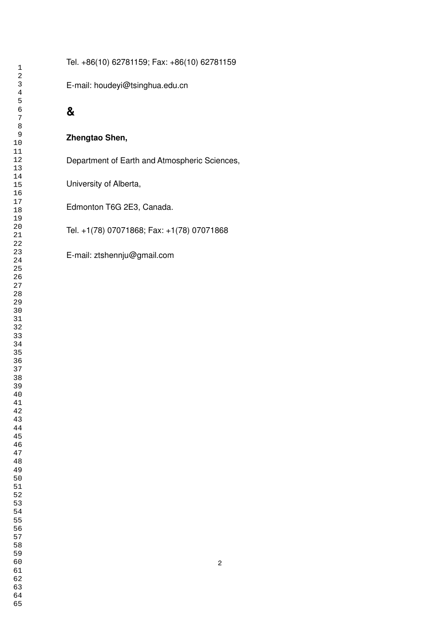Tel. +86(10) 62781159; Fax: +86(10) 62781159

E-mail: [houdeyi@tsinghua.edu.cn](mailto:houdeyi@tsinghua.edu.cn) 

# **&**

### **Zhengtao Shen,**

Department of Earth and Atmospheric Sciences,

University of Alberta,

Edmonton T6G 2E3, Canada.

Tel. +1(78) 07071868; Fax: +1(78) 07071868

E-mail: [ztshennju@gmail.com](mailto:ztshennju@gmail.com)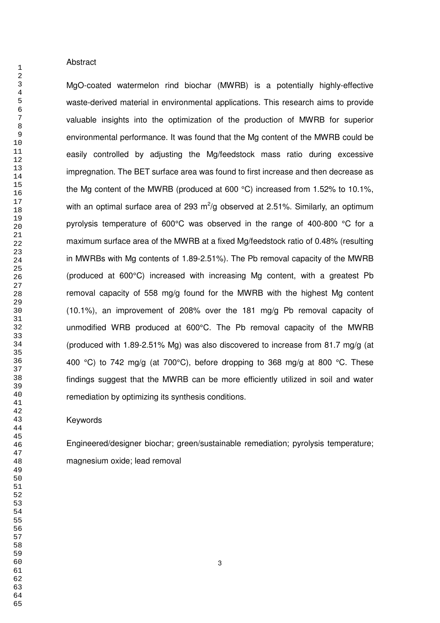#### Abstract

MgO-coated watermelon rind biochar (MWRB) is a potentially highly-effective waste-derived material in environmental applications. This research aims to provide valuable insights into the optimization of the production of MWRB for superior environmental performance. It was found that the Mg content of the MWRB could be easily controlled by adjusting the Mg/feedstock mass ratio during excessive impregnation. The BET surface area was found to first increase and then decrease as the Mg content of the MWRB (produced at 600 °C) increased from 1.52% to 10.1%, with an optimal surface area of 293  $m^2$ /g observed at 2.51%. Similarly, an optimum pyrolysis temperature of 600°C was observed in the range of 400-800 °C for a maximum surface area of the MWRB at a fixed Mg/feedstock ratio of 0.48% (resulting in MWRBs with Mg contents of 1.89-2.51%). The Pb removal capacity of the MWRB (produced at 600°C) increased with increasing Mg content, with a greatest Pb removal capacity of 558 mg/g found for the MWRB with the highest Mg content (10.1%), an improvement of 208% over the 181 mg/g Pb removal capacity of unmodified WRB produced at 600°C. The Pb removal capacity of the MWRB (produced with 1.89-2.51% Mg) was also discovered to increase from 81.7 mg/g (at 400 °C) to 742 mg/g (at 700°C), before dropping to 368 mg/g at 800 °C. These findings suggest that the MWRB can be more efficiently utilized in soil and water remediation by optimizing its synthesis conditions.

#### Keywords

Engineered/designer biochar; green/sustainable remediation; pyrolysis temperature; magnesium oxide; lead removal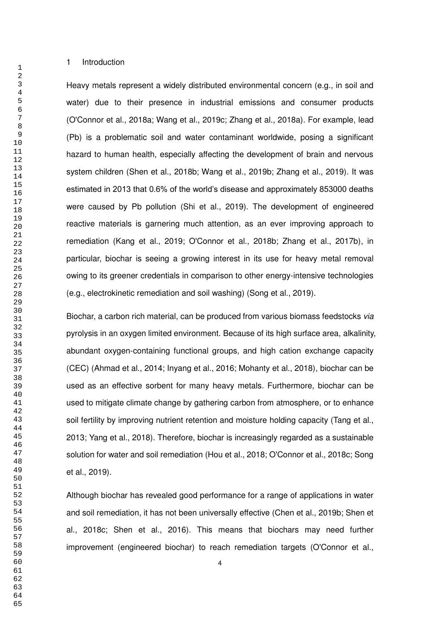1 Introduction

Heavy metals represent a widely distributed environmental concern (e.g., in soil and water) due to their presence in industrial emissions and consumer products (O'Connor et al., 2018a; Wang et al., 2019c; Zhang et al., 2018a). For example, lead (Pb) is a problematic soil and water contaminant worldwide, posing a significant hazard to human health, especially affecting the development of brain and nervous system children (Shen et al., 2018b; Wang et al., 2019b; Zhang et al., 2019). It was estimated in 2013 that 0.6% of the world's disease and approximately 853000 deaths were caused by Pb pollution (Shi et al., 2019). The development of engineered reactive materials is garnering much attention, as an ever improving approach to remediation (Kang et al., 2019; O'Connor et al., 2018b; Zhang et al., 2017b), in particular, biochar is seeing a growing interest in its use for heavy metal removal owing to its greener credentials in comparison to other energy-intensive technologies (e.g., electrokinetic remediation and soil washing) (Song et al., 2019).

Biochar, a carbon rich material, can be produced from various biomass feedstocks *via* pyrolysis in an oxygen limited environment. Because of its high surface area, alkalinity, abundant oxygen-containing functional groups, and high cation exchange capacity (CEC) (Ahmad et al., 2014; Inyang et al., 2016; Mohanty et al., 2018), biochar can be used as an effective sorbent for many heavy metals. Furthermore, biochar can be used to mitigate climate change by gathering carbon from atmosphere, or to enhance soil fertility by improving nutrient retention and moisture holding capacity (Tang et al., 2013; Yang et al., 2018). Therefore, biochar is increasingly regarded as a sustainable solution for water and soil remediation (Hou et al., 2018; O'Connor et al., 2018c; Song et al., 2019).

Although biochar has revealed good performance for a range of applications in water and soil remediation, it has not been universally effective (Chen et al., 2019b; Shen et al., 2018c; Shen et al., 2016). This means that biochars may need further improvement (engineered biochar) to reach remediation targets (O'Connor et al.,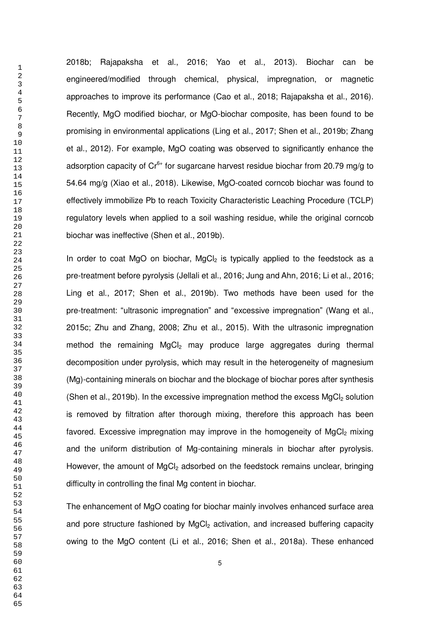2018b; Rajapaksha et al., 2016; Yao et al., 2013). Biochar can be engineered/modified through chemical, physical, impregnation, or magnetic approaches to improve its performance (Cao et al., 2018; Rajapaksha et al., 2016). Recently, MgO modified biochar, or MgO-biochar composite, has been found to be promising in environmental applications (Ling et al., 2017; Shen et al., 2019b; Zhang et al., 2012). For example, MgO coating was observed to significantly enhance the adsorption capacity of  $Cr^{6+}$  for sugarcane harvest residue biochar from 20.79 mg/g to 54.64 mg/g (Xiao et al., 2018). Likewise, MgO-coated corncob biochar was found to effectively immobilize Pb to reach Toxicity Characteristic Leaching Procedure (TCLP) regulatory levels when applied to a soil washing residue, while the original corncob biochar was ineffective (Shen et al., 2019b).

In order to coat MgO on biochar,  $MgCl<sub>2</sub>$  is typically applied to the feedstock as a pre-treatment before pyrolysis (Jellali et al., 2016; Jung and Ahn, 2016; Li et al., 2016; Ling et al., 2017; Shen et al., 2019b). Two methods have been used for the pre-treatment: "ultrasonic impregnation" and "excessive impregnation" (Wang et al., 2015c; Zhu and Zhang, 2008; Zhu et al., 2015). With the ultrasonic impregnation method the remaining MgCl<sub>2</sub> may produce large aggregates during thermal decomposition under pyrolysis, which may result in the heterogeneity of magnesium (Mg)-containing minerals on biochar and the blockage of biochar pores after synthesis (Shen et al., 2019b). In the excessive impregnation method the excess  $MgCl<sub>2</sub>$  solution is removed by filtration after thorough mixing, therefore this approach has been favored. Excessive impregnation may improve in the homogeneity of  $MgCl<sub>2</sub>$  mixing and the uniform distribution of Mg-containing minerals in biochar after pyrolysis. However, the amount of  $MgCl<sub>2</sub>$  adsorbed on the feedstock remains unclear, bringing difficulty in controlling the final Mg content in biochar.

The enhancement of MgO coating for biochar mainly involves enhanced surface area and pore structure fashioned by MgCl<sub>2</sub> activation, and increased buffering capacity owing to the MgO content (Li et al., 2016; Shen et al., 2018a). These enhanced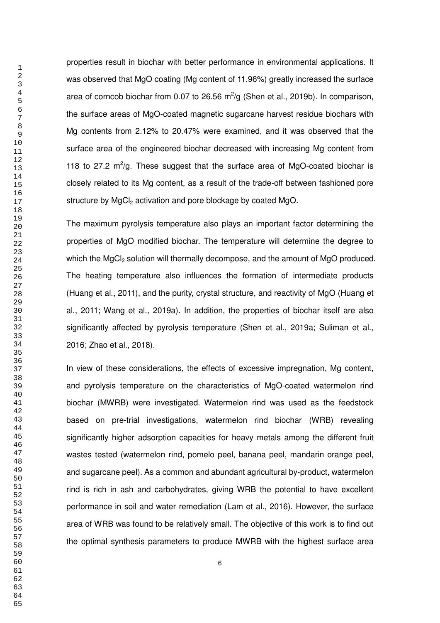properties result in biochar with better performance in environmental applications. It was observed that MgO coating (Mg content of 11.96%) greatly increased the surface area of corncob biochar from 0.07 to 26.56  $m^2/g$  (Shen et al., 2019b). In comparison, the surface areas of MgO-coated magnetic sugarcane harvest residue biochars with Mg contents from 2.12% to 20.47% were examined, and it was observed that the surface area of the engineered biochar decreased with increasing Mg content from 118 to 27.2  $m^2/g$ . These suggest that the surface area of MgO-coated biochar is closely related to its Mg content, as a result of the trade-off between fashioned pore structure by MgCl<sub>2</sub> activation and pore blockage by coated MgO.

The maximum pyrolysis temperature also plays an important factor determining the properties of MgO modified biochar. The temperature will determine the degree to which the MgCl<sub>2</sub> solution will thermally decompose, and the amount of MgO produced. The heating temperature also influences the formation of intermediate products (Huang et al., 2011), and the purity, crystal structure, and reactivity of MgO (Huang et al., 2011; Wang et al., 2019a). In addition, the properties of biochar itself are also significantly affected by pyrolysis temperature (Shen et al., 2019a; Suliman et al., 2016; Zhao et al., 2018).

In view of these considerations, the effects of excessive impregnation, Mg content, and pyrolysis temperature on the characteristics of MgO-coated watermelon rind biochar (MWRB) were investigated. Watermelon rind was used as the feedstock based on pre-trial investigations, watermelon rind biochar (WRB) revealing significantly higher adsorption capacities for heavy metals among the different fruit wastes tested (watermelon rind, pomelo peel, banana peel, mandarin orange peel, and sugarcane peel). As a common and abundant agricultural by-product, watermelon rind is rich in ash and carbohydrates, giving WRB the potential to have excellent performance in soil and water remediation (Lam et al., 2016). However, the surface area of WRB was found to be relatively small. The objective of this work is to find out the optimal synthesis parameters to produce MWRB with the highest surface area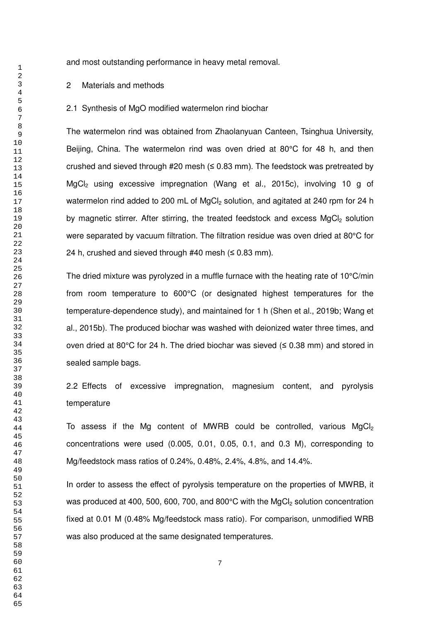and most outstanding performance in heavy metal removal.

#### 2 Materials and methods

#### 2.1 Synthesis of MgO modified watermelon rind biochar

The watermelon rind was obtained from Zhaolanyuan Canteen, Tsinghua University, Beijing, China. The watermelon rind was oven dried at 80°C for 48 h, and then crushed and sieved through #20 mesh ( $\leq$  0.83 mm). The feedstock was pretreated by MgCl<sub>2</sub> using excessive impregnation (Wang et al., 2015c), involving 10 g of watermelon rind added to 200 mL of MgCl<sub>2</sub> solution, and agitated at 240 rpm for 24 h by magnetic stirrer. After stirring, the treated feedstock and excess  $MgCl<sub>2</sub>$  solution were separated by vacuum filtration. The filtration residue was oven dried at 80°C for 24 h, crushed and sieved through  $#40$  mesh ( $\leq 0.83$  mm).

The dried mixture was pyrolyzed in a muffle furnace with the heating rate of  $10^{\circ}$ C/min from room temperature to 600°C (or designated highest temperatures for the temperature-dependence study), and maintained for 1 h (Shen et al., 2019b; Wang et al., 2015b). The produced biochar was washed with deionized water three times, and oven dried at 80 $^{\circ}$ C for 24 h. The dried biochar was sieved ( $\leq$  0.38 mm) and stored in sealed sample bags.

2.2 Effects of excessive impregnation, magnesium content, and pyrolysis temperature

To assess if the Mg content of MWRB could be controlled, various MgCl<sub>2</sub> concentrations were used (0.005, 0.01, 0.05, 0.1, and 0.3 M), corresponding to Mg/feedstock mass ratios of 0.24%, 0.48%, 2.4%, 4.8%, and 14.4%.

In order to assess the effect of pyrolysis temperature on the properties of MWRB, it was produced at 400, 500, 600, 700, and 800 $^{\circ}$ C with the MgCl<sub>2</sub> solution concentration fixed at 0.01 M (0.48% Mg/feedstock mass ratio). For comparison, unmodified WRB was also produced at the same designated temperatures.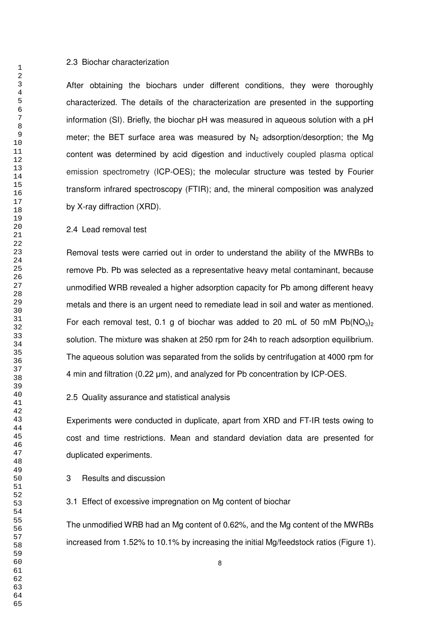#### 2.3 Biochar characterization

After obtaining the biochars under different conditions, they were thoroughly characterized. The details of the characterization are presented in the supporting information (SI). Briefly, the biochar pH was measured in aqueous solution with a pH meter; the BET surface area was measured by  $N_2$  adsorption/desorption; the Mg content was determined by acid digestion and inductively coupled plasma optical emission spectrometry (ICP-OES); the molecular structure was tested by Fourier transform infrared spectroscopy (FTIR); and, the mineral composition was analyzed by X-ray diffraction (XRD).

#### 2.4 Lead removal test

Removal tests were carried out in order to understand the ability of the MWRBs to remove Pb. Pb was selected as a representative heavy metal contaminant, because unmodified WRB revealed a higher adsorption capacity for Pb among different heavy metals and there is an urgent need to remediate lead in soil and water as mentioned. For each removal test, 0.1 g of biochar was added to 20 mL of 50 mM  $Pb(NO<sub>3</sub>)<sub>2</sub>$ solution. The mixture was shaken at 250 rpm for 24h to reach adsorption equilibrium. The aqueous solution was separated from the solids by centrifugation at 4000 rpm for 4 min and filtration (0.22 μm), and analyzed for Pb concentration by ICP-OES.

#### 2.5 Quality assurance and statistical analysis

Experiments were conducted in duplicate, apart from XRD and FT-IR tests owing to cost and time restrictions. Mean and standard deviation data are presented for duplicated experiments.

#### 3 Results and discussion

# 3.1 Effect of excessive impregnation on Mg content of biochar

The unmodified WRB had an Mg content of 0.62%, and the Mg content of the MWRBs increased from 1.52% to 10.1% by increasing the initial Mg/feedstock ratios (Figure 1).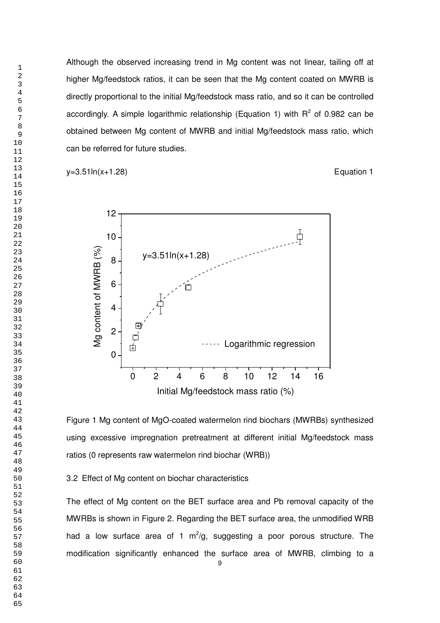Although the observed increasing trend in Mg content was not linear, tailing off at higher Mg/feedstock ratios, it can be seen that the Mg content coated on MWRB is directly proportional to the initial Mg/feedstock mass ratio, and so it can be controlled accordingly. A simple logarithmic relationship (Equation 1) with  $R^2$  of 0.982 can be obtained between Mg content of MWRB and initial Mg/feedstock mass ratio, which can be referred for future studies.

 $y=3.51\ln(x+1.28)$  Equation 1



Figure 1 Mg content of MgO-coated watermelon rind biochars (MWRBs) synthesized using excessive impregnation pretreatment at different initial Mg/feedstock mass ratios (0 represents raw watermelon rind biochar (WRB))

3.2 Effect of Mg content on biochar characteristics

The effect of Mg content on the BET surface area and Pb removal capacity of the MWRBs is shown in Figure 2. Regarding the BET surface area, the unmodified WRB had a low surface area of 1  $m^2/g$ , suggesting a poor porous structure. The modification significantly enhanced the surface area of MWRB, climbing to a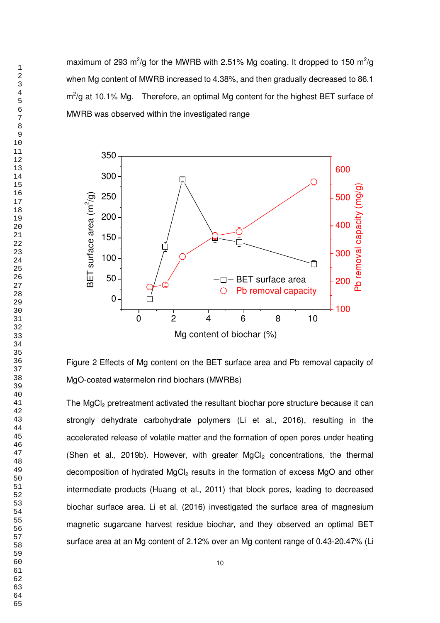maximum of 293 m<sup>2</sup>/g for the MWRB with 2.51% Mg coating. It dropped to 150 m<sup>2</sup>/g when Mg content of MWRB increased to 4.38%, and then gradually decreased to 86.1  $m^2$ /g at 10.1% Mg. Therefore, an optimal Mg content for the highest BET surface of MWRB was observed within the investigated range



Figure 2 Effects of Mg content on the BET surface area and Pb removal capacity of MgO-coated watermelon rind biochars (MWRBs)

The MgCl<sub>2</sub> pretreatment activated the resultant biochar pore structure because it can strongly dehydrate carbohydrate polymers (Li et al., 2016), resulting in the accelerated release of volatile matter and the formation of open pores under heating (Shen et al., 2019b). However, with greater  $MgCl<sub>2</sub>$  concentrations, the thermal decomposition of hydrated MgCl<sub>2</sub> results in the formation of excess MgO and other intermediate products (Huang et al., 2011) that block pores, leading to decreased biochar surface area. Li et al. (2016) investigated the surface area of magnesium magnetic sugarcane harvest residue biochar, and they observed an optimal BET surface area at an Mg content of 2.12% over an Mg content range of 0.43-20.47% (Li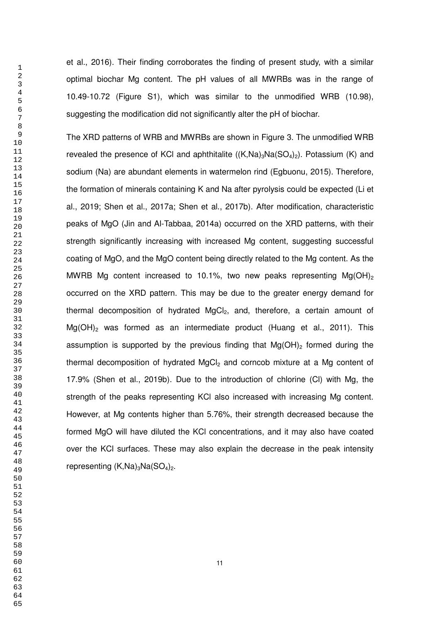et al., 2016). Their finding corroborates the finding of present study, with a similar optimal biochar Mg content. The pH values of all MWRBs was in the range of 10.49-10.72 (Figure S1), which was similar to the unmodified WRB (10.98), suggesting the modification did not significantly alter the pH of biochar.

The XRD patterns of WRB and MWRBs are shown in Figure 3. The unmodified WRB revealed the presence of KCl and aphthitalite  $((K,Na)_3Na(SO_4)_2)$ . Potassium (K) and sodium (Na) are abundant elements in watermelon rind (Egbuonu, 2015). Therefore, the formation of minerals containing K and Na after pyrolysis could be expected (Li et al., 2019; Shen et al., 2017a; Shen et al., 2017b). After modification, characteristic peaks of MgO (Jin and Al-Tabbaa, 2014a) occurred on the XRD patterns, with their strength significantly increasing with increased Mg content, suggesting successful coating of MgO, and the MgO content being directly related to the Mg content. As the MWRB Mg content increased to 10.1%, two new peaks representing Mg(OH)<sub>2</sub> occurred on the XRD pattern. This may be due to the greater energy demand for thermal decomposition of hydrated  $MgCl<sub>2</sub>$ , and, therefore, a certain amount of  $Mg(OH)$ <sub>2</sub> was formed as an intermediate product (Huang et al., 2011). This assumption is supported by the previous finding that  $Mg(OH)_2$  formed during the thermal decomposition of hydrated  $MgCl<sub>2</sub>$  and corncob mixture at a Mg content of 17.9% (Shen et al., 2019b). Due to the introduction of chlorine (Cl) with Mg, the strength of the peaks representing KCl also increased with increasing Mg content. However, at Mg contents higher than 5.76%, their strength decreased because the formed MgO will have diluted the KCl concentrations, and it may also have coated over the KCl surfaces. These may also explain the decrease in the peak intensity representing  $(K,Na)_3Na(SO_4)_2$ .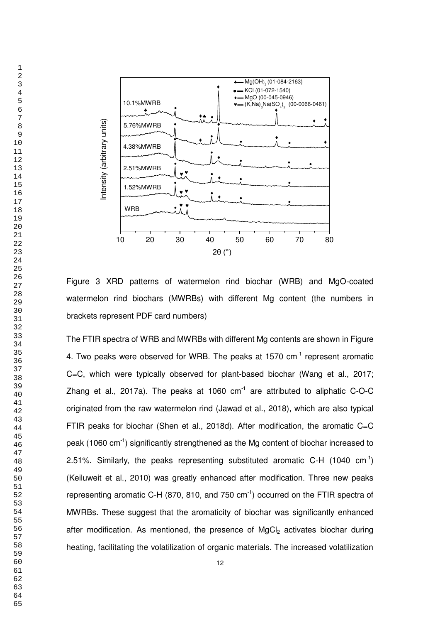

Figure 3 XRD patterns of watermelon rind biochar (WRB) and MgO-coated watermelon rind biochars (MWRBs) with different Mg content (the numbers in brackets represent PDF card numbers)

The FTIR spectra of WRB and MWRBs with different Mg contents are shown in Figure 4. Two peaks were observed for WRB. The peaks at 1570  $cm^{-1}$  represent aromatic C=C, which were typically observed for plant-based biochar (Wang et al., 2017; Zhang et al., 2017a). The peaks at 1060  $cm^{-1}$  are attributed to aliphatic C-O-C originated from the raw watermelon rind (Jawad et al., 2018), which are also typical FTIR peaks for biochar (Shen et al., 2018d). After modification, the aromatic C=C peak (1060 cm-1) significantly strengthened as the Mg content of biochar increased to 2.51%. Similarly, the peaks representing substituted aromatic C-H (1040  $cm^{-1}$ ) (Keiluweit et al., 2010) was greatly enhanced after modification. Three new peaks representing aromatic C-H (870, 810, and 750  $cm^{-1}$ ) occurred on the FTIR spectra of MWRBs. These suggest that the aromaticity of biochar was significantly enhanced after modification. As mentioned, the presence of  $MgCl<sub>2</sub>$  activates biochar during heating, facilitating the volatilization of organic materials. The increased volatilization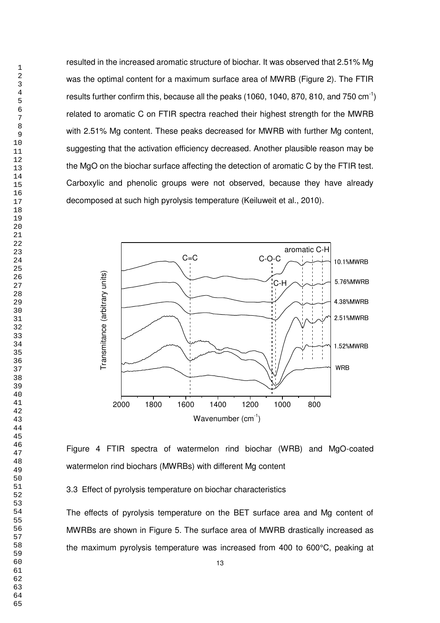resulted in the increased aromatic structure of biochar. It was observed that 2.51% Mg was the optimal content for a maximum surface area of MWRB (Figure 2). The FTIR results further confirm this, because all the peaks (1060, 1040, 870, 810, and 750  $cm^{-1}$ ) related to aromatic C on FTIR spectra reached their highest strength for the MWRB with 2.51% Mg content. These peaks decreased for MWRB with further Mg content, suggesting that the activation efficiency decreased. Another plausible reason may be the MgO on the biochar surface affecting the detection of aromatic C by the FTIR test. Carboxylic and phenolic groups were not observed, because they have already decomposed at such high pyrolysis temperature (Keiluweit et al., 2010).



Figure 4 FTIR spectra of watermelon rind biochar (WRB) and MgO-coated watermelon rind biochars (MWRBs) with different Mg content

3.3 Effect of pyrolysis temperature on biochar characteristics

The effects of pyrolysis temperature on the BET surface area and Mg content of MWRBs are shown in Figure 5. The surface area of MWRB drastically increased as the maximum pyrolysis temperature was increased from 400 to 600°C, peaking at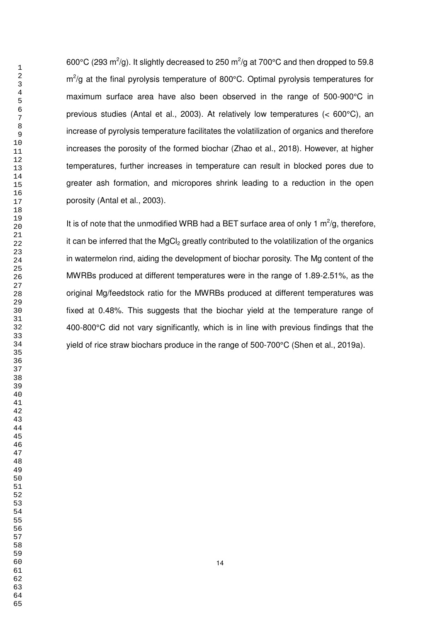600°C (293 m<sup>2</sup>/g). It slightly decreased to 250 m<sup>2</sup>/g at 700°C and then dropped to 59.8  $m^2$ /g at the final pyrolysis temperature of 800°C. Optimal pyrolysis temperatures for maximum surface area have also been observed in the range of 500-900°C in previous studies (Antal et al., 2003). At relatively low temperatures (< 600°C), an increase of pyrolysis temperature facilitates the volatilization of organics and therefore increases the porosity of the formed biochar (Zhao et al., 2018). However, at higher temperatures, further increases in temperature can result in blocked pores due to greater ash formation, and micropores shrink leading to a reduction in the open porosity (Antal et al., 2003).

It is of note that the unmodified WRB had a BET surface area of only 1  $m^2/g$ , therefore, it can be inferred that the  $MgCl<sub>2</sub>$  greatly contributed to the volatilization of the organics in watermelon rind, aiding the development of biochar porosity. The Mg content of the MWRBs produced at different temperatures were in the range of 1.89-2.51%, as the original Mg/feedstock ratio for the MWRBs produced at different temperatures was fixed at 0.48%. This suggests that the biochar yield at the temperature range of 400-800°C did not vary significantly, which is in line with previous findings that the yield of rice straw biochars produce in the range of 500-700°C (Shen et al., 2019a).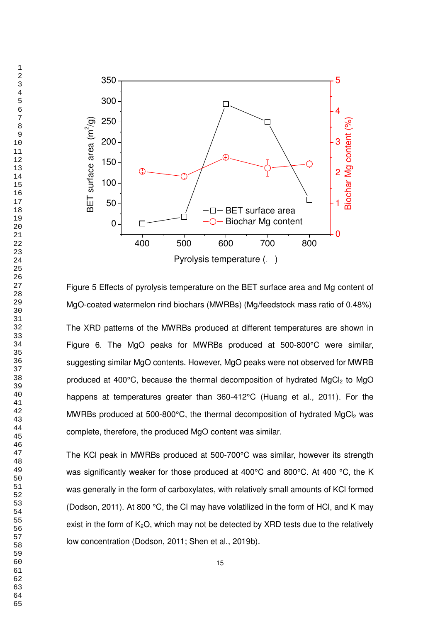

Figure 5 Effects of pyrolysis temperature on the BET surface area and Mg content of MgO-coated watermelon rind biochars (MWRBs) (Mg/feedstock mass ratio of 0.48%)

The XRD patterns of the MWRBs produced at different temperatures are shown in Figure 6. The MgO peaks for MWRBs produced at 500-800°C were similar, suggesting similar MgO contents. However, MgO peaks were not observed for MWRB produced at 400 $^{\circ}$ C, because the thermal decomposition of hydrated MgCl<sub>2</sub> to MgO happens at temperatures greater than 360-412°C (Huang et al., 2011). For the MWRBs produced at 500-800 $^{\circ}$ C, the thermal decomposition of hydrated MgCl<sub>2</sub> was complete, therefore, the produced MgO content was similar.

The KCl peak in MWRBs produced at 500-700°C was similar, however its strength was significantly weaker for those produced at 400°C and 800°C. At 400 °C, the K was generally in the form of carboxylates, with relatively small amounts of KCl formed (Dodson, 2011). At 800 °C, the CI may have volatilized in the form of HCI, and K may exist in the form of  $K_2O$ , which may not be detected by XRD tests due to the relatively low concentration (Dodson, 2011; Shen et al., 2019b).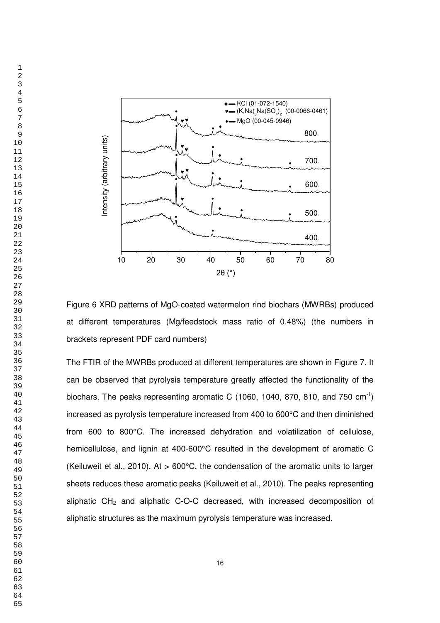

Figure 6 XRD patterns of MgO-coated watermelon rind biochars (MWRBs) produced at different temperatures (Mg/feedstock mass ratio of 0.48%) (the numbers in brackets represent PDF card numbers)

The FTIR of the MWRBs produced at different temperatures are shown in Figure 7. It can be observed that pyrolysis temperature greatly affected the functionality of the biochars. The peaks representing aromatic C (1060, 1040, 870, 810, and 750 cm<sup>-1</sup>) increased as pyrolysis temperature increased from 400 to 600°C and then diminished from 600 to 800°C. The increased dehydration and volatilization of cellulose, hemicellulose, and lignin at 400-600°C resulted in the development of aromatic C (Keiluweit et al., 2010). At > 600°C, the condensation of the aromatic units to larger sheets reduces these aromatic peaks (Keiluweit et al., 2010). The peaks representing aliphatic CH<sub>2</sub> and aliphatic C-O-C decreased, with increased decomposition of aliphatic structures as the maximum pyrolysis temperature was increased.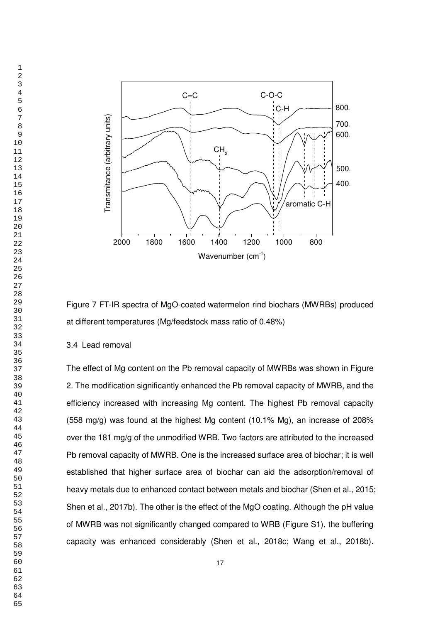

Figure 7 FT-IR spectra of MgO-coated watermelon rind biochars (MWRBs) produced at different temperatures (Mg/feedstock mass ratio of 0.48%)

# 3.4 Lead removal

The effect of Mg content on the Pb removal capacity of MWRBs was shown in Figure 2. The modification significantly enhanced the Pb removal capacity of MWRB, and the efficiency increased with increasing Mg content. The highest Pb removal capacity (558 mg/g) was found at the highest Mg content (10.1% Mg), an increase of 208% over the 181 mg/g of the unmodified WRB. Two factors are attributed to the increased Pb removal capacity of MWRB. One is the increased surface area of biochar; it is well established that higher surface area of biochar can aid the adsorption/removal of heavy metals due to enhanced contact between metals and biochar (Shen et al., 2015; Shen et al., 2017b). The other is the effect of the MgO coating. Although the pH value of MWRB was not significantly changed compared to WRB (Figure S1), the buffering capacity was enhanced considerably (Shen et al., 2018c; Wang et al., 2018b).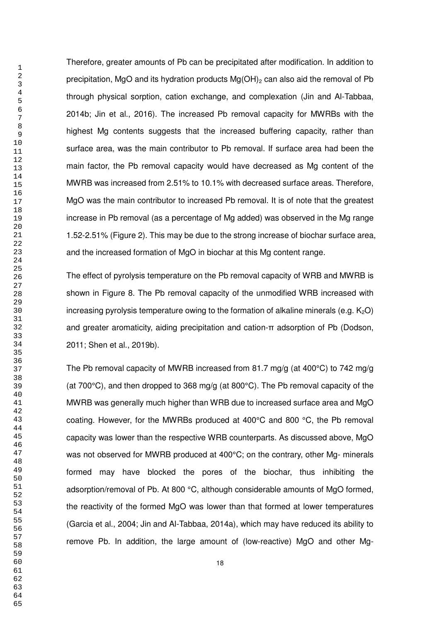Therefore, greater amounts of Pb can be precipitated after modification. In addition to precipitation, MgO and its hydration products  $Mg(OH)_2$  can also aid the removal of Pb through physical sorption, cation exchange, and complexation (Jin and Al-Tabbaa, 2014b; Jin et al., 2016). The increased Pb removal capacity for MWRBs with the highest Mg contents suggests that the increased buffering capacity, rather than surface area, was the main contributor to Pb removal. If surface area had been the main factor, the Pb removal capacity would have decreased as Mg content of the MWRB was increased from 2.51% to 10.1% with decreased surface areas. Therefore, MgO was the main contributor to increased Pb removal. It is of note that the greatest increase in Pb removal (as a percentage of Mg added) was observed in the Mg range 1.52-2.51% (Figure 2). This may be due to the strong increase of biochar surface area, and the increased formation of MgO in biochar at this Mg content range.

The effect of pyrolysis temperature on the Pb removal capacity of WRB and MWRB is shown in Figure 8. The Pb removal capacity of the unmodified WRB increased with increasing pyrolysis temperature owing to the formation of alkaline minerals (e.g.  $K_2O$ ) and greater aromaticity, aiding precipitation and cation-π adsorption of Pb (Dodson, 2011; Shen et al., 2019b).

The Pb removal capacity of MWRB increased from 81.7 mg/g (at 400°C) to 742 mg/g (at 700°C), and then dropped to 368 mg/g (at 800°C). The Pb removal capacity of the MWRB was generally much higher than WRB due to increased surface area and MgO coating. However, for the MWRBs produced at 400°C and 800 °C, the Pb removal capacity was lower than the respective WRB counterparts. As discussed above, MgO was not observed for MWRB produced at 400°C; on the contrary, other Mg- minerals formed may have blocked the pores of the biochar, thus inhibiting the adsorption/removal of Pb. At 800 °C, although considerable amounts of MgO formed, the reactivity of the formed MgO was lower than that formed at lower temperatures (Garcia et al., 2004; Jin and Al-Tabbaa, 2014a), which may have reduced its ability to remove Pb. In addition, the large amount of (low-reactive) MgO and other Mg-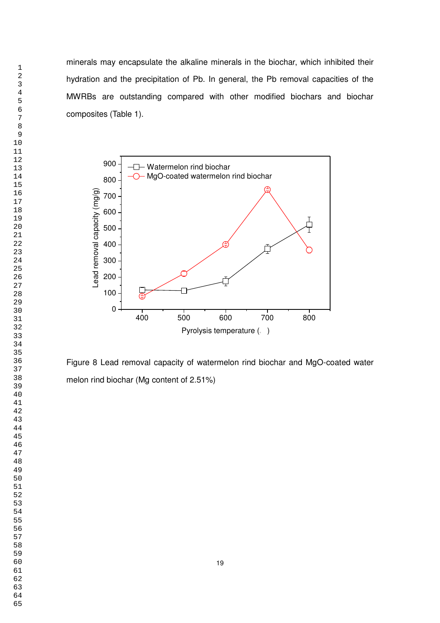minerals may encapsulate the alkaline minerals in the biochar, which inhibited their hydration and the precipitation of Pb. In general, the Pb removal capacities of the MWRBs are outstanding compared with other modified biochars and biochar composites (Table 1).



Figure 8 Lead removal capacity of watermelon rind biochar and MgO-coated water melon rind biochar (Mg content of 2.51%)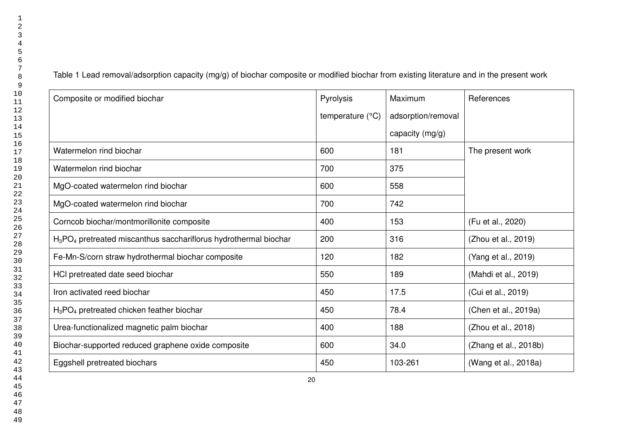Table 1 Lead removal/adsorption capacity (mg/g) of biochar composite or modified biochar from existing literature and in the present work

| Composite or modified biochar                                                            | Pyrolysis        | Maximum            | References            |
|------------------------------------------------------------------------------------------|------------------|--------------------|-----------------------|
|                                                                                          | temperature (°C) | adsorption/removal |                       |
|                                                                                          |                  | capacity (mg/g)    |                       |
| Watermelon rind biochar                                                                  | 600              | 181                | The present work      |
| Watermelon rind biochar                                                                  | 700              | 375                |                       |
| MgO-coated watermelon rind biochar                                                       | 600              | 558                |                       |
| MgO-coated watermelon rind biochar                                                       | 700              | 742                |                       |
| Corncob biochar/montmorillonite composite                                                | 400              | 153                | (Fu et al., 2020)     |
| H <sub>3</sub> PO <sub>4</sub> pretreated miscanthus sacchariflorus hydrothermal biochar | 200              | 316                | (Zhou et al., 2019)   |
| Fe-Mn-S/corn straw hydrothermal biochar composite                                        | 120              | 182                | (Yang et al., 2019)   |
| HCI pretreated date seed biochar                                                         | 550              | 189                | (Mahdi et al., 2019)  |
| Iron activated reed biochar                                                              | 450              | 17.5               | (Cui et al., 2019)    |
| $H_3PO_4$ pretreated chicken feather biochar                                             | 450              | 78.4               | (Chen et al., 2019a)  |
| Urea-functionalized magnetic palm biochar                                                | 400              | 188                | (Zhou et al., 2018)   |
| Biochar-supported reduced graphene oxide composite                                       | 600              | 34.0               | (Zhang et al., 2018b) |
| Eggshell pretreated biochars                                                             | 450              | 103-261            | (Wang et al., 2018a)  |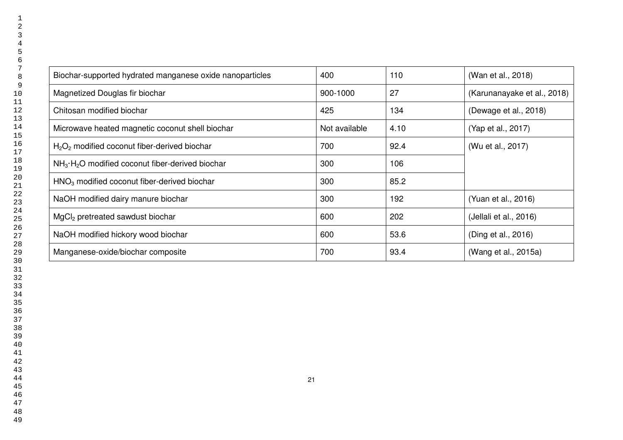| Biochar-supported hydrated manganese oxide nanoparticles | 400           | 110  | (Wan et al., 2018)          |
|----------------------------------------------------------|---------------|------|-----------------------------|
| Magnetized Douglas fir biochar                           | 900-1000      | 27   | (Karunanayake et al., 2018) |
| Chitosan modified biochar                                | 425           | 134  | (Dewage et al., 2018)       |
| Microwave heated magnetic coconut shell biochar          | Not available | 4.10 | (Yap et al., 2017)          |
| $H2O2$ modified coconut fiber-derived biochar            | 700           | 92.4 | (Wu et al., 2017)           |
| $NH3·H2O$ modified coconut fiber-derived biochar         | 300           | 106  |                             |
| $HNO3$ modified coconut fiber-derived biochar            | 300           | 85.2 |                             |
| NaOH modified dairy manure biochar                       | 300           | 192  | (Yuan et al., 2016)         |
| MgCl <sub>2</sub> pretreated sawdust biochar             | 600           | 202  | (Jellali et al., 2016)      |
| NaOH modified hickory wood biochar                       | 600           | 53.6 | (Ding et al., 2016)         |
| Manganese-oxide/biochar composite                        | 700           | 93.4 | (Wang et al., 2015a)        |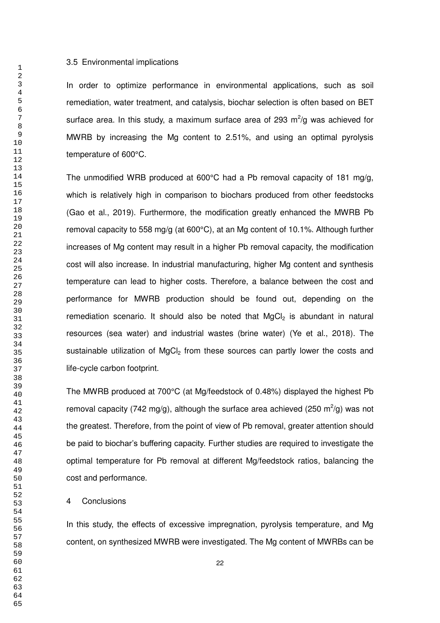#### 3.5 Environmental implications

In order to optimize performance in environmental applications, such as soil remediation, water treatment, and catalysis, biochar selection is often based on BET surface area. In this study, a maximum surface area of 293  $m^2$ /g was achieved for MWRB by increasing the Mg content to 2.51%, and using an optimal pyrolysis temperature of 600°C.

The unmodified WRB produced at 600°C had a Pb removal capacity of 181 mg/g, which is relatively high in comparison to biochars produced from other feedstocks (Gao et al., 2019). Furthermore, the modification greatly enhanced the MWRB Pb removal capacity to 558 mg/g (at 600°C), at an Mg content of 10.1%. Although further increases of Mg content may result in a higher Pb removal capacity, the modification cost will also increase. In industrial manufacturing, higher Mg content and synthesis temperature can lead to higher costs. Therefore, a balance between the cost and performance for MWRB production should be found out, depending on the remediation scenario. It should also be noted that  $MgCl<sub>2</sub>$  is abundant in natural resources (sea water) and industrial wastes (brine water) (Ye et al., 2018). The sustainable utilization of MgCl<sub>2</sub> from these sources can partly lower the costs and life-cycle carbon footprint.

The MWRB produced at 700°C (at Mg/feedstock of 0.48%) displayed the highest Pb removal capacity (742 mg/g), although the surface area achieved (250 m<sup>2</sup>/g) was not the greatest. Therefore, from the point of view of Pb removal, greater attention should be paid to biochar's buffering capacity. Further studies are required to investigate the optimal temperature for Pb removal at different Mg/feedstock ratios, balancing the cost and performance.

#### 4 Conclusions

In this study, the effects of excessive impregnation, pyrolysis temperature, and Mg content, on synthesized MWRB were investigated. The Mg content of MWRBs can be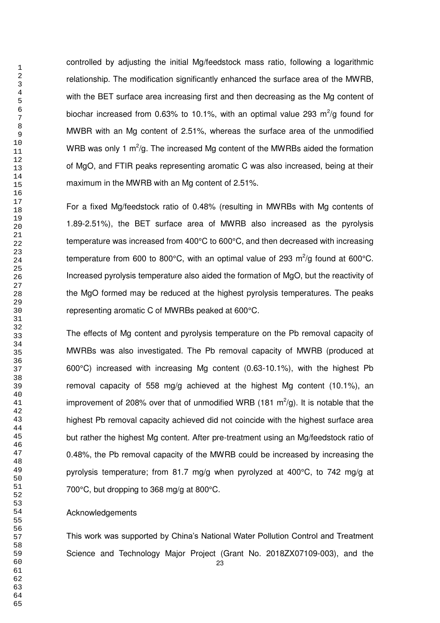controlled by adjusting the initial Mg/feedstock mass ratio, following a logarithmic relationship. The modification significantly enhanced the surface area of the MWRB, with the BET surface area increasing first and then decreasing as the Mg content of biochar increased from 0.63% to 10.1%, with an optimal value 293  $m^2/g$  found for MWBR with an Mg content of 2.51%, whereas the surface area of the unmodified WRB was only 1  $m^2/g$ . The increased Mg content of the MWRBs aided the formation of MgO, and FTIR peaks representing aromatic C was also increased, being at their maximum in the MWRB with an Mg content of 2.51%.

For a fixed Mg/feedstock ratio of 0.48% (resulting in MWRBs with Mg contents of 1.89-2.51%), the BET surface area of MWRB also increased as the pyrolysis temperature was increased from 400°C to 600°C, and then decreased with increasing temperature from 600 to 800°C, with an optimal value of 293 m<sup>2</sup>/g found at 600°C. Increased pyrolysis temperature also aided the formation of MgO, but the reactivity of the MgO formed may be reduced at the highest pyrolysis temperatures. The peaks representing aromatic C of MWRBs peaked at 600°C.

The effects of Mg content and pyrolysis temperature on the Pb removal capacity of MWRBs was also investigated. The Pb removal capacity of MWRB (produced at 600°C) increased with increasing Mg content (0.63-10.1%), with the highest Pb removal capacity of 558 mg/g achieved at the highest Mg content (10.1%), an improvement of 208% over that of unmodified WRB (181 m<sup>2</sup>/g). It is notable that the highest Pb removal capacity achieved did not coincide with the highest surface area but rather the highest Mg content. After pre-treatment using an Mg/feedstock ratio of 0.48%, the Pb removal capacity of the MWRB could be increased by increasing the pyrolysis temperature; from 81.7 mg/g when pyrolyzed at 400°C, to 742 mg/g at 700°C, but dropping to 368 mg/g at 800°C.

#### Acknowledgements

This work was supported by China's National Water Pollution Control and Treatment Science and Technology Major Project (Grant No. 2018ZX07109-003), and the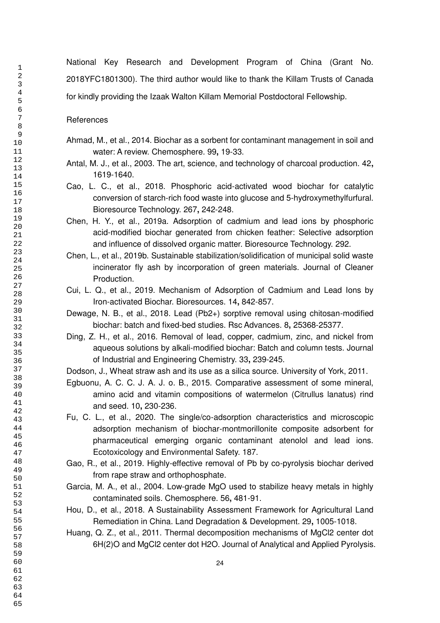National Key Research and Development Program of China (Grant No. 2018YFC1801300). The third author would like to thank the Killam Trusts of Canada for kindly providing the Izaak Walton Killam Memorial Postdoctoral Fellowship.

**References** 

- Ahmad, M., et al., 2014. Biochar as a sorbent for contaminant management in soil and water: A review. Chemosphere. 99**,** 19-33.
- Antal, M. J., et al., 2003. The art, science, and technology of charcoal production. 42**,** 1619-1640.
- Cao, L. C., et al., 2018. Phosphoric acid-activated wood biochar for catalytic conversion of starch-rich food waste into glucose and 5-hydroxymethylfurfural. Bioresource Technology. 267**,** 242-248.
- Chen, H. Y., et al., 2019a. Adsorption of cadmium and lead ions by phosphoric acid-modified biochar generated from chicken feather: Selective adsorption and influence of dissolved organic matter. Bioresource Technology. 292.
- Chen, L., et al., 2019b. Sustainable stabilization/solidification of municipal solid waste incinerator fly ash by incorporation of green materials. Journal of Cleaner Production.
- Cui, L. Q., et al., 2019. Mechanism of Adsorption of Cadmium and Lead Ions by Iron-activated Biochar. Bioresources. 14**,** 842-857.
- Dewage, N. B., et al., 2018. Lead (Pb2+) sorptive removal using chitosan-modified biochar: batch and fixed-bed studies. Rsc Advances. 8**,** 25368-25377.
- Ding, Z. H., et al., 2016. Removal of lead, copper, cadmium, zinc, and nickel from aqueous solutions by alkali-modified biochar: Batch and column tests. Journal of Industrial and Engineering Chemistry. 33**,** 239-245.
- Dodson, J., Wheat straw ash and its use as a silica source. University of York, 2011.
- Egbuonu, A. C. C. J. A. J. o. B., 2015. Comparative assessment of some mineral, amino acid and vitamin compositions of watermelon (Citrullus lanatus) rind and seed. 10**,** 230-236.
- Fu, C. L., et al., 2020. The single/co-adsorption characteristics and microscopic adsorption mechanism of biochar-montmorillonite composite adsorbent for pharmaceutical emerging organic contaminant atenolol and lead ions. Ecotoxicology and Environmental Safety. 187.
- Gao, R., et al., 2019. Highly-effective removal of Pb by co-pyrolysis biochar derived from rape straw and orthophosphate.
- Garcia, M. A., et al., 2004. Low-grade MgO used to stabilize heavy metals in highly contaminated soils. Chemosphere. 56**,** 481-91.
- Hou, D., et al., 2018. A Sustainability Assessment Framework for Agricultural Land Remediation in China. Land Degradation & Development. 29**,** 1005-1018.
- Huang, Q. Z., et al., 2011. Thermal decomposition mechanisms of MgCl2 center dot 6H(2)O and MgCl2 center dot H2O. Journal of Analytical and Applied Pyrolysis.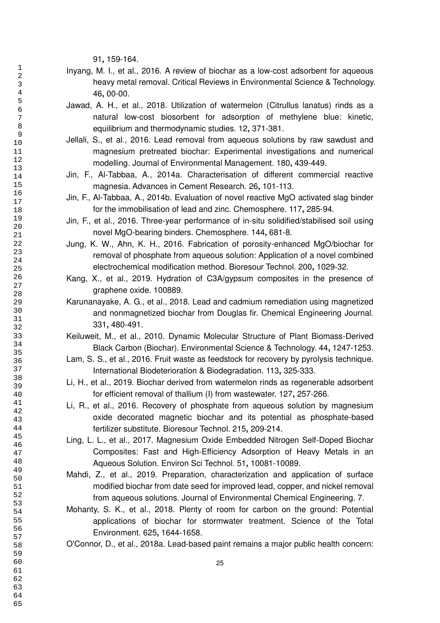**,** 159-164.

- Inyang, M. I., et al., 2016. A review of biochar as a low-cost adsorbent for aqueous heavy metal removal. Critical Reviews in Environmental Science & Technology. **,** 00-00.
- Jawad, A. H., et al., 2018. Utilization of watermelon (Citrullus lanatus) rinds as a natural low-cost biosorbent for adsorption of methylene blue: kinetic, equilibrium and thermodynamic studies. 12**,** 371-381.
- Jellali, S., et al., 2016. Lead removal from aqueous solutions by raw sawdust and magnesium pretreated biochar: Experimental investigations and numerical modelling. Journal of Environmental Management. 180**,** 439-449.
- Jin, F., Al-Tabbaa, A., 2014a. Characterisation of different commercial reactive magnesia. Advances in Cement Research. 26**,** 101-113.
- Jin, F., Al-Tabbaa, A., 2014b. Evaluation of novel reactive MgO activated slag binder for the immobilisation of lead and zinc. Chemosphere. 117**,** 285-94.
- Jin, F., et al., 2016. Three-year performance of in-situ solidified/stabilised soil using novel MgO-bearing binders. Chemosphere. 144**,** 681-8.
- Jung, K. W., Ahn, K. H., 2016. Fabrication of porosity-enhanced MgO/biochar for removal of phosphate from aqueous solution: Application of a novel combined electrochemical modification method. Bioresour Technol. 200**,** 1029-32.
- Kang, X., et al., 2019. Hydration of C3A/gypsum composites in the presence of graphene oxide. 100889.
- Karunanayake, A. G., et al., 2018. Lead and cadmium remediation using magnetized and nonmagnetized biochar from Douglas fir. Chemical Engineering Journal. **,** 480-491.
- Keiluweit, M., et al., 2010. Dynamic Molecular Structure of Plant Biomass-Derived Black Carbon (Biochar). Environmental Science & Technology. 44**,** 1247-1253.
- Lam, S. S., et al., 2016. Fruit waste as feedstock for recovery by pyrolysis technique. International Biodeterioration & Biodegradation. 113**,** 325-333.
- Li, H., et al., 2019. Biochar derived from watermelon rinds as regenerable adsorbent for efficient removal of thallium (I) from wastewater. 127**,** 257-266.
- Li, R., et al., 2016. Recovery of phosphate from aqueous solution by magnesium oxide decorated magnetic biochar and its potential as phosphate-based fertilizer substitute. Bioresour Technol. 215**,** 209-214.
- Ling, L. L., et al., 2017. Magnesium Oxide Embedded Nitrogen Self-Doped Biochar Composites: Fast and High-Efficiency Adsorption of Heavy Metals in an Aqueous Solution. Environ Sci Technol. 51**,** 10081-10089.
- Mahdi, Z., et al., 2019. Preparation, characterization and application of surface modified biochar from date seed for improved lead, copper, and nickel removal from aqueous solutions. Journal of Environmental Chemical Engineering. 7.
- Mohanty, S. K., et al., 2018. Plenty of room for carbon on the ground: Potential applications of biochar for stormwater treatment. Science of the Total Environment. 625**,** 1644-1658.
- O'Connor, D., et al., 2018a. Lead-based paint remains a major public health concern: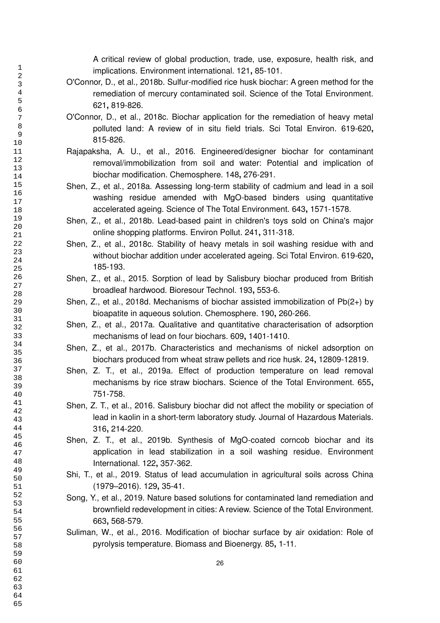A critical review of global production, trade, use, exposure, health risk, and implications. Environment international. 121**,** 85-101.

- O'Connor, D., et al., 2018b. Sulfur-modified rice husk biochar: A green method for the remediation of mercury contaminated soil. Science of the Total Environment. **,** 819-826.
- O'Connor, D., et al., 2018c. Biochar application for the remediation of heavy metal polluted land: A review of in situ field trials. Sci Total Environ. 619-620**,** 815-826.
- Rajapaksha, A. U., et al., 2016. Engineered/designer biochar for contaminant removal/immobilization from soil and water: Potential and implication of biochar modification. Chemosphere. 148**,** 276-291.
- Shen, Z., et al., 2018a. Assessing long-term stability of cadmium and lead in a soil washing residue amended with MgO-based binders using quantitative accelerated ageing. Science of The Total Environment. 643**,** 1571-1578.
- Shen, Z., et al., 2018b. Lead-based paint in children's toys sold on China's major online shopping platforms. Environ Pollut. 241**,** 311-318.
- Shen, Z., et al., 2018c. Stability of heavy metals in soil washing residue with and without biochar addition under accelerated ageing. Sci Total Environ. 619-620**,** 185-193.
- Shen, Z., et al., 2015. Sorption of lead by Salisbury biochar produced from British broadleaf hardwood. Bioresour Technol. 193**,** 553-6.
- Shen, Z., et al., 2018d. Mechanisms of biochar assisted immobilization of Pb(2+) by bioapatite in aqueous solution. Chemosphere. 190**,** 260-266.
- Shen, Z., et al., 2017a. Qualitative and quantitative characterisation of adsorption mechanisms of lead on four biochars. 609**,** 1401-1410.
- Shen, Z., et al., 2017b. Characteristics and mechanisms of nickel adsorption on biochars produced from wheat straw pellets and rice husk. 24**,** 12809-12819.
- Shen, Z. T., et al., 2019a. Effect of production temperature on lead removal mechanisms by rice straw biochars. Science of the Total Environment. 655**,** 751-758.
- Shen, Z. T., et al., 2016. Salisbury biochar did not affect the mobility or speciation of lead in kaolin in a short-term laboratory study. Journal of Hazardous Materials. **,** 214-220.
- Shen, Z. T., et al., 2019b. Synthesis of MgO-coated corncob biochar and its application in lead stabilization in a soil washing residue. Environment International. 122**,** 357-362.
- Shi, T., et al., 2019. Status of lead accumulation in agricultural soils across China (1979–2016). 129**,** 35-41.
- Song, Y., et al., 2019. Nature based solutions for contaminated land remediation and brownfield redevelopment in cities: A review. Science of the Total Environment. **,** 568-579.
- Suliman, W., et al., 2016. Modification of biochar surface by air oxidation: Role of pyrolysis temperature. Biomass and Bioenergy. 85**,** 1-11.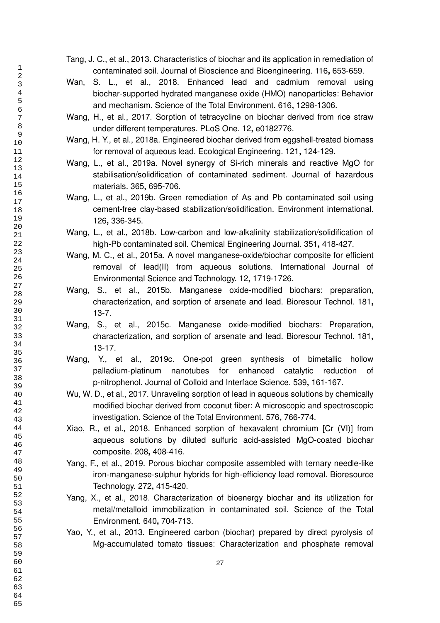- Tang, J. C., et al., 2013. Characteristics of biochar and its application in remediation of contaminated soil. Journal of Bioscience and Bioengineering. 116**,** 653-659.
- Wan, S. L., et al., 2018. Enhanced lead and cadmium removal using biochar-supported hydrated manganese oxide (HMO) nanoparticles: Behavior and mechanism. Science of the Total Environment. 616**,** 1298-1306.
- Wang, H., et al., 2017. Sorption of tetracycline on biochar derived from rice straw under different temperatures. PLoS One. 12**,** e0182776.
- Wang, H. Y., et al., 2018a. Engineered biochar derived from eggshell-treated biomass for removal of aqueous lead. Ecological Engineering. 121**,** 124-129.
- Wang, L., et al., 2019a. Novel synergy of Si-rich minerals and reactive MgO for stabilisation/solidification of contaminated sediment. Journal of hazardous materials. 365**,** 695-706.
- Wang, L., et al., 2019b. Green remediation of As and Pb contaminated soil using cement-free clay-based stabilization/solidification. Environment international. **,** 336-345.
- Wang, L., et al., 2018b. Low-carbon and low-alkalinity stabilization/solidification of high-Pb contaminated soil. Chemical Engineering Journal. 351**,** 418-427.
- Wang, M. C., et al., 2015a. A novel manganese-oxide/biochar composite for efficient removal of lead(II) from aqueous solutions. International Journal of Environmental Science and Technology. 12**,** 1719-1726.
- Wang, S., et al., 2015b. Manganese oxide-modified biochars: preparation, characterization, and sorption of arsenate and lead. Bioresour Technol. 181**,** 13-7.
- Wang, S., et al., 2015c. Manganese oxide-modified biochars: Preparation, characterization, and sorption of arsenate and lead. Bioresour Technol. 181**,** 13-17.
- Wang, Y., et al., 2019c. One-pot green synthesis of bimetallic hollow palladium-platinum nanotubes for enhanced catalytic reduction of p-nitrophenol. Journal of Colloid and Interface Science. 539**,** 161-167.
- Wu, W. D., et al., 2017. Unraveling sorption of lead in aqueous solutions by chemically modified biochar derived from coconut fiber: A microscopic and spectroscopic investigation. Science of the Total Environment. 576**,** 766-774.
- Xiao, R., et al., 2018. Enhanced sorption of hexavalent chromium [Cr (VI)] from aqueous solutions by diluted sulfuric acid-assisted MgO-coated biochar composite. 208**,** 408-416.
- Yang, F., et al., 2019. Porous biochar composite assembled with ternary needle-like iron-manganese-sulphur hybrids for high-efficiency lead removal. Bioresource Technology. 272**,** 415-420.
- Yang, X., et al., 2018. Characterization of bioenergy biochar and its utilization for metal/metalloid immobilization in contaminated soil. Science of the Total Environment. 640**,** 704-713.
- Yao, Y., et al., 2013. Engineered carbon (biochar) prepared by direct pyrolysis of Mg-accumulated tomato tissues: Characterization and phosphate removal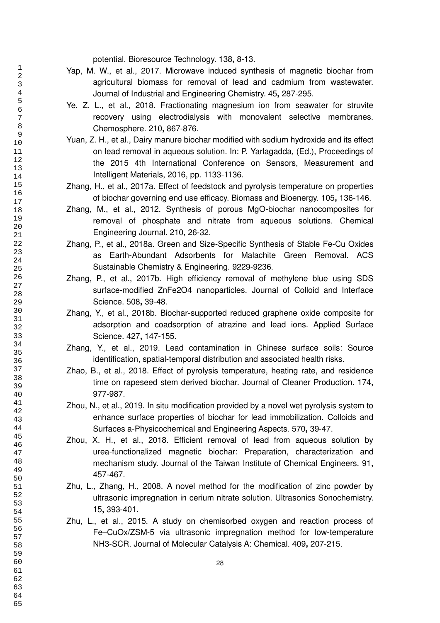potential. Bioresource Technology. 138**,** 8-13.

- Yap, M. W., et al., 2017. Microwave induced synthesis of magnetic biochar from agricultural biomass for removal of lead and cadmium from wastewater. Journal of Industrial and Engineering Chemistry. 45**,** 287-295.
- Ye, Z. L., et al., 2018. Fractionating magnesium ion from seawater for struvite recovery using electrodialysis with monovalent selective membranes. Chemosphere. 210**,** 867-876.
- Yuan, Z. H., et al., Dairy manure biochar modified with sodium hydroxide and its effect on lead removal in aqueous solution. In: P. Yarlagadda, (Ed.), Proceedings of the 2015 4th International Conference on Sensors, Measurement and Intelligent Materials, 2016, pp. 1133-1136.
- Zhang, H., et al., 2017a. Effect of feedstock and pyrolysis temperature on properties of biochar governing end use efficacy. Biomass and Bioenergy. 105**,** 136-146.
- Zhang, M., et al., 2012. Synthesis of porous MgO-biochar nanocomposites for removal of phosphate and nitrate from aqueous solutions. Chemical Engineering Journal. 210**,** 26-32.
- Zhang, P., et al., 2018a. Green and Size-Specific Synthesis of Stable Fe-Cu Oxides as Earth-Abundant Adsorbents for Malachite Green Removal. ACS Sustainable Chemistry & Engineering. 9229-9236.
- Zhang, P., et al., 2017b. High efficiency removal of methylene blue using SDS surface-modified ZnFe2O4 nanoparticles. Journal of Colloid and Interface Science. 508**,** 39-48.
- Zhang, Y., et al., 2018b. Biochar-supported reduced graphene oxide composite for adsorption and coadsorption of atrazine and lead ions. Applied Surface Science. 427**,** 147-155.
- Zhang, Y., et al., 2019. Lead contamination in Chinese surface soils: Source identification, spatial-temporal distribution and associated health risks.
- Zhao, B., et al., 2018. Effect of pyrolysis temperature, heating rate, and residence time on rapeseed stem derived biochar. Journal of Cleaner Production. 174**,** 977-987.
- Zhou, N., et al., 2019. In situ modification provided by a novel wet pyrolysis system to enhance surface properties of biochar for lead immobilization. Colloids and Surfaces a-Physicochemical and Engineering Aspects. 570**,** 39-47.
- Zhou, X. H., et al., 2018. Efficient removal of lead from aqueous solution by urea-functionalized magnetic biochar: Preparation, characterization and mechanism study. Journal of the Taiwan Institute of Chemical Engineers. 91**,** 457-467.
- Zhu, L., Zhang, H., 2008. A novel method for the modification of zinc powder by ultrasonic impregnation in cerium nitrate solution. Ultrasonics Sonochemistry. **,** 393-401.
- Zhu, L., et al., 2015. A study on chemisorbed oxygen and reaction process of Fe–CuOx/ZSM-5 via ultrasonic impregnation method for low-temperature NH3-SCR. Journal of Molecular Catalysis A: Chemical. 409**,** 207-215.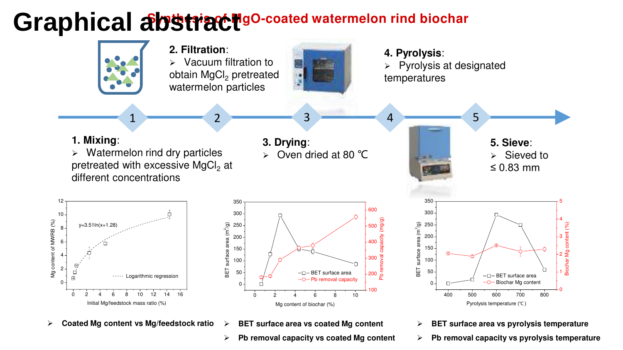#### Graphical abstract occated watermelon rind biochar



- **Pb removal capacity vs pyrolysis temperature**
- **Pb removal capacity vs coated Mg content**